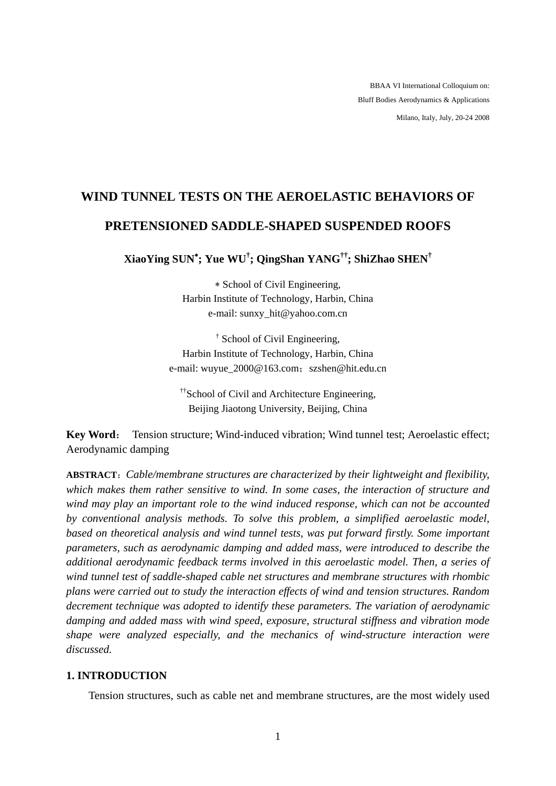BBAA VI International Colloquium on: Bluff Bodies Aerodynamics & Applications Milano, Italy, July, 20-24 2008

# **WIND TUNNEL TESTS ON THE AEROELASTIC BEHAVIORS OF PRETENSIONED SADDLE-SHAPED SUSPENDED ROOFS**

**XiaoYing SUN**<sup>∗</sup> **; Yue WU† ; QingShan YANG††; ShiZhao SHEN†**

∗ School of Civil Engineering, Harbin Institute of Technology, Harbin, China e-mail: sunxy\_hit@yahoo.com.cn

† School of Civil Engineering, Harbin Institute of Technology, Harbin, China e-mail: wuyue\_2000@163.com; szshen@hit.edu.cn

<sup>††</sup>School of Civil and Architecture Engineering, Beijing Jiaotong University, Beijing, China

**Key Word**: Tension structure; Wind-induced vibration; Wind tunnel test; Aeroelastic effect; Aerodynamic damping

**ABSTRACT**:*Cable/membrane structures are characterized by their lightweight and flexibility, which makes them rather sensitive to wind. In some cases, the interaction of structure and wind may play an important role to the wind induced response, which can not be accounted by conventional analysis methods. To solve this problem, a simplified aeroelastic model, based on theoretical analysis and wind tunnel tests, was put forward firstly. Some important parameters, such as aerodynamic damping and added mass, were introduced to describe the additional aerodynamic feedback terms involved in this aeroelastic model. Then, a series of wind tunnel test of saddle-shaped cable net structures and membrane structures with rhombic plans were carried out to study the interaction effects of wind and tension structures. Random decrement technique was adopted to identify these parameters. The variation of aerodynamic damping and added mass with wind speed, exposure, structural stiffness and vibration mode shape were analyzed especially, and the mechanics of wind-structure interaction were discussed.*

# **1. INTRODUCTION**

Tension structures, such as cable net and membrane structures, are the most widely used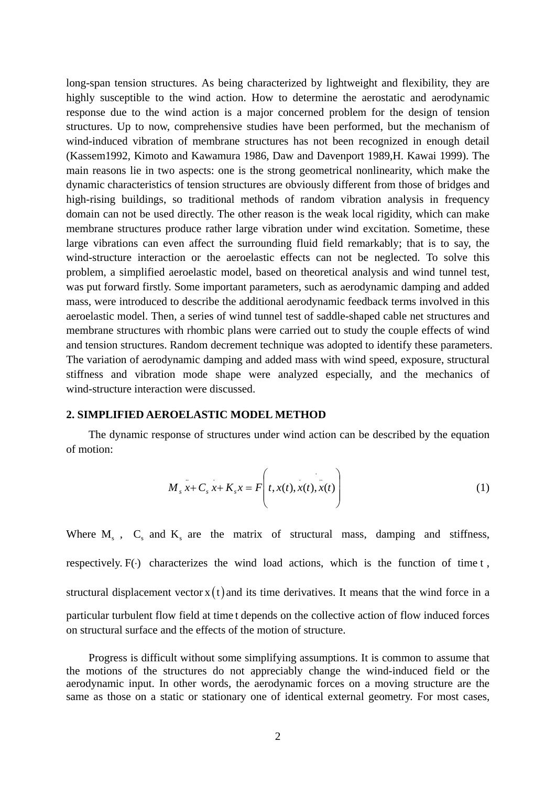long-span tension structures. As being characterized by lightweight and flexibility, they are highly susceptible to the wind action. How to determine the aerostatic and aerodynamic response due to the wind action is a major concerned problem for the design of tension structures. Up to now, comprehensive studies have been performed, but the mechanism of wind-induced vibration of membrane structures has not been recognized in enough detail (Kassem1992, Kimoto and Kawamura 1986, Daw and Davenport 1989,H. Kawai 1999). The main reasons lie in two aspects: one is the strong geometrical nonlinearity, which make the dynamic characteristics of tension structures are obviously different from those of bridges and high-rising buildings, so traditional methods of random vibration analysis in frequency domain can not be used directly. The other reason is the weak local rigidity, which can make membrane structures produce rather large vibration under wind excitation. Sometime, these large vibrations can even affect the surrounding fluid field remarkably; that is to say, the wind-structure interaction or the aeroelastic effects can not be neglected. To solve this problem, a simplified aeroelastic model, based on theoretical analysis and wind tunnel test, was put forward firstly. Some important parameters, such as aerodynamic damping and added mass, were introduced to describe the additional aerodynamic feedback terms involved in this aeroelastic model. Then, a series of wind tunnel test of saddle-shaped cable net structures and membrane structures with rhombic plans were carried out to study the couple effects of wind and tension structures. Random decrement technique was adopted to identify these parameters. The variation of aerodynamic damping and added mass with wind speed, exposure, structural stiffness and vibration mode shape were analyzed especially, and the mechanics of wind-structure interaction were discussed.

#### **2. SIMPLIFIED AEROELASTIC MODEL METHOD**

The dynamic response of structures under wind action can be described by the equation of motion:

$$
M_s x + C_s x + K_s x = F\left(t, x(t), x(t), x(t)\right)
$$
\n(1)

Where  $M_s$ ,  $C_s$  and  $K_s$  are the matrix of structural mass, damping and stiffness, respectively.  $F(\cdot)$  characterizes the wind load actions, which is the function of time t, structural displacement vector  $x(t)$  and its time derivatives. It means that the wind force in a particular turbulent flow field at time t depends on the collective action of flow induced forces on structural surface and the effects of the motion of structure.

Progress is difficult without some simplifying assumptions. It is common to assume that the motions of the structures do not appreciably change the wind-induced field or the aerodynamic input. In other words, the aerodynamic forces on a moving structure are the same as those on a static or stationary one of identical external geometry. For most cases,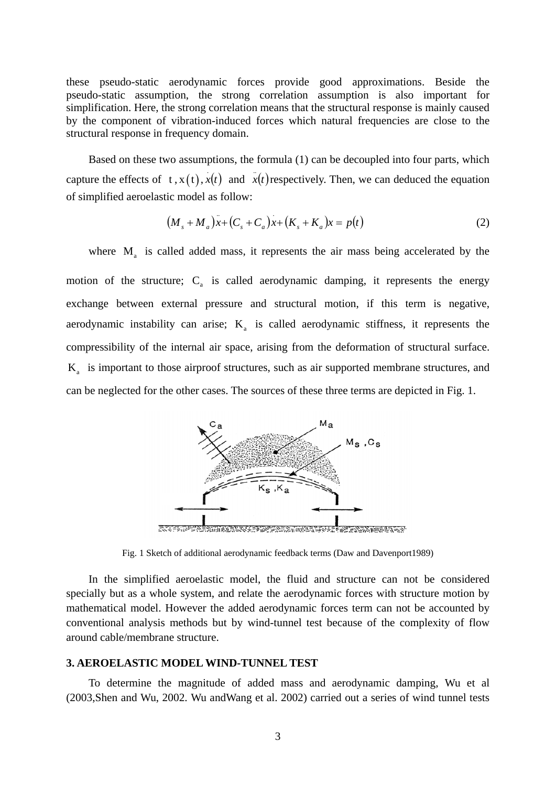these pseudo-static aerodynamic forces provide good approximations. Beside the pseudo-static assumption, the strong correlation assumption is also important for simplification. Here, the strong correlation means that the structural response is mainly caused by the component of vibration-induced forces which natural frequencies are close to the structural response in frequency domain.

Based on these two assumptions, the formula (1) can be decoupled into four parts, which capture the effects of  $t, x(t), x(t)$  and  $\dot{x}(t)$  respectively. Then, we can deduced the equation of simplified aeroelastic model as follow:

$$
(M_s + M_a)x + (C_s + C_a)x + (K_s + K_a)x = p(t)
$$
\n(2)

where  $M<sub>a</sub>$  is called added mass, it represents the air mass being accelerated by the

motion of the structure;  $C_a$  is called aerodynamic damping, it represents the energy exchange between external pressure and structural motion, if this term is negative, aerodynamic instability can arise;  $K_a$  is called aerodynamic stiffness, it represents the compressibility of the internal air space, arising from the deformation of structural surface.  $K<sub>a</sub>$  is important to those airproof structures, such as air supported membrane structures, and can be neglected for the other cases. The sources of these three terms are depicted in Fig. 1.



Fig. 1 Sketch of additional aerodynamic feedback terms (Daw and Davenport1989)

In the simplified aeroelastic model, the fluid and structure can not be considered specially but as a whole system, and relate the aerodynamic forces with structure motion by mathematical model. However the added aerodynamic forces term can not be accounted by conventional analysis methods but by wind-tunnel test because of the complexity of flow around cable/membrane structure.

## **3. AEROELASTIC MODEL WIND-TUNNEL TEST**

To determine the magnitude of added mass and aerodynamic damping, Wu et al (2003,Shen and Wu, 2002. Wu andWang et al. 2002) carried out a series of wind tunnel tests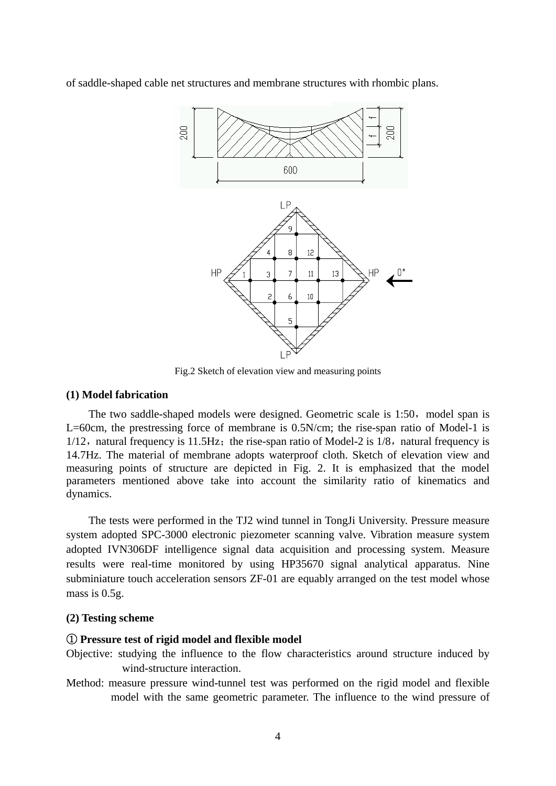of saddle-shaped cable net structures and membrane structures with rhombic plans.



Fig.2 Sketch of elevation view and measuring points

#### **(1) Model fabrication**

The two saddle-shaped models were designed. Geometric scale is 1:50, model span is L=60cm, the prestressing force of membrane is 0.5N/cm; the rise-span ratio of Model-1 is  $1/12$ , natural frequency is 11.5Hz; the rise-span ratio of Model-2 is 1/8, natural frequency is 14.7Hz. The material of membrane adopts waterproof cloth. Sketch of elevation view and measuring points of structure are depicted in Fig. 2. It is emphasized that the model parameters mentioned above take into account the similarity ratio of kinematics and dynamics.

The tests were performed in the TJ2 wind tunnel in TongJi University. Pressure measure system adopted SPC-3000 electronic piezometer scanning valve. Vibration measure system adopted IVN306DF intelligence signal data acquisition and processing system. Measure results were real-time monitored by using HP35670 signal analytical apparatus. Nine subminiature touch acceleration sensors ZF-01 are equably arranged on the test model whose mass is 0.5g.

## **(2) Testing scheme**

#### ① **Pressure test of rigid model and flexible model**

- Objective: studying the influence to the flow characteristics around structure induced by wind-structure interaction.
- Method: measure pressure wind-tunnel test was performed on the rigid model and flexible model with the same geometric parameter. The influence to the wind pressure of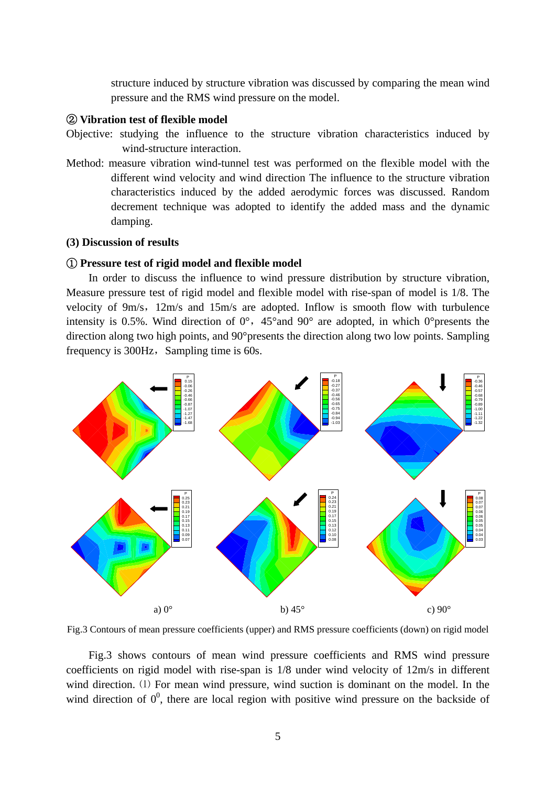structure induced by structure vibration was discussed by comparing the mean wind pressure and the RMS wind pressure on the model.

# ② **Vibration test of flexible model**

- Objective: studying the influence to the structure vibration characteristics induced by wind-structure interaction.
- Method: measure vibration wind-tunnel test was performed on the flexible model with the different wind velocity and wind direction The influence to the structure vibration characteristics induced by the added aerodymic forces was discussed. Random decrement technique was adopted to identify the added mass and the dynamic damping.

# **(3) Discussion of results**

## ① **Pressure test of rigid model and flexible model**

In order to discuss the influence to wind pressure distribution by structure vibration, Measure pressure test of rigid model and flexible model with rise-span of model is 1/8. The velocity of 9m/s,12m/s and 15m/s are adopted. Inflow is smooth flow with turbulence intensity is 0.5%. Wind direction of  $0^{\circ}$ , 45°and 90° are adopted, in which 0°presents the direction along two high points, and 90°presents the direction along two low points. Sampling frequency is  $300\text{Hz}$ , Sampling time is 60s.



Fig.3 Contours of mean pressure coefficients (upper) and RMS pressure coefficients (down) on rigid model

Fig.3 shows contours of mean wind pressure coefficients and RMS wind pressure coefficients on rigid model with rise-span is 1/8 under wind velocity of 12m/s in different wind direction. (1) For mean wind pressure, wind suction is dominant on the model. In the wind direction of  $0^0$ , there are local region with positive wind pressure on the backside of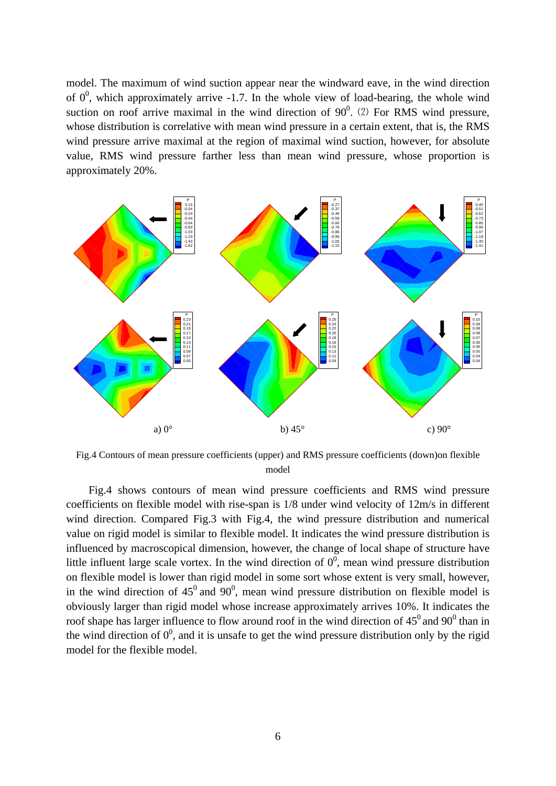model. The maximum of wind suction appear near the windward eave, in the wind direction of  $0^0$ , which approximately arrive -1.7. In the whole view of load-bearing, the whole wind suction on roof arrive maximal in the wind direction of  $90^0$ . (2) For RMS wind pressure, whose distribution is correlative with mean wind pressure in a certain extent, that is, the RMS wind pressure arrive maximal at the region of maximal wind suction, however, for absolute value, RMS wind pressure farther less than mean wind pressure, whose proportion is approximately 20%.



Fig.4 Contours of mean pressure coefficients (upper) and RMS pressure coefficients (down)on flexible model

Fig.4 shows contours of mean wind pressure coefficients and RMS wind pressure coefficients on flexible model with rise-span is 1/8 under wind velocity of 12m/s in different wind direction. Compared Fig.3 with Fig.4, the wind pressure distribution and numerical value on rigid model is similar to flexible model. It indicates the wind pressure distribution is influenced by macroscopical dimension, however, the change of local shape of structure have little influent large scale vortex. In the wind direction of  $0^0$ , mean wind pressure distribution on flexible model is lower than rigid model in some sort whose extent is very small, however, in the wind direction of  $45^{\circ}$  and  $90^{\circ}$ , mean wind pressure distribution on flexible model is obviously larger than rigid model whose increase approximately arrives 10%. It indicates the roof shape has larger influence to flow around roof in the wind direction of  $45^0$  and  $90^0$  than in the wind direction of  $0^0$ , and it is unsafe to get the wind pressure distribution only by the rigid model for the flexible model.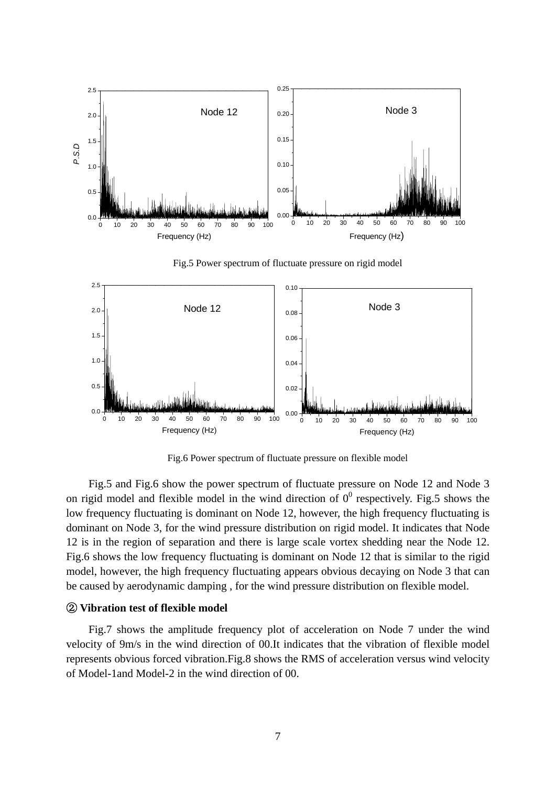

Fig.6 Power spectrum of fluctuate pressure on flexible model

Fig.5 and Fig.6 show the power spectrum of fluctuate pressure on Node 12 and Node 3 on rigid model and flexible model in the wind direction of  $0^0$  respectively. Fig.5 shows the low frequency fluctuating is dominant on Node 12, however, the high frequency fluctuating is dominant on Node 3, for the wind pressure distribution on rigid model. It indicates that Node 12 is in the region of separation and there is large scale vortex shedding near the Node 12. Fig.6 shows the low frequency fluctuating is dominant on Node 12 that is similar to the rigid model, however, the high frequency fluctuating appears obvious decaying on Node 3 that can be caused by aerodynamic damping , for the wind pressure distribution on flexible model.

## ② **Vibration test of flexible model**

Fig.7 shows the amplitude frequency plot of acceleration on Node 7 under the wind velocity of 9m/s in the wind direction of 00.It indicates that the vibration of flexible model represents obvious forced vibration.Fig.8 shows the RMS of acceleration versus wind velocity of Model-1and Model-2 in the wind direction of 00.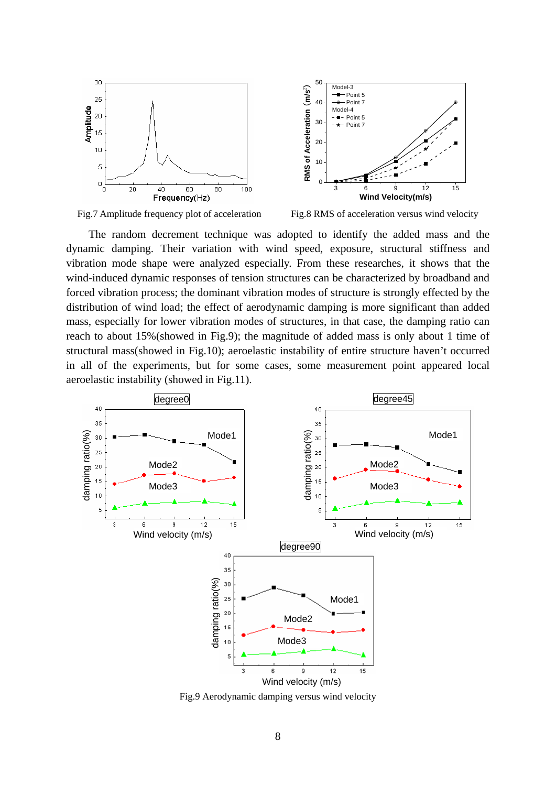

Fig.7 Amplitude frequency plot of acceleration Fig.8 RMS of acceleration versus wind velocity

The random decrement technique was adopted to identify the added mass and the dynamic damping. Their variation with wind speed, exposure, structural stiffness and vibration mode shape were analyzed especially. From these researches, it shows that the wind-induced dynamic responses of tension structures can be characterized by broadband and forced vibration process; the dominant vibration modes of structure is strongly effected by the distribution of wind load; the effect of aerodynamic damping is more significant than added mass, especially for lower vibration modes of structures, in that case, the damping ratio can reach to about 15%(showed in Fig.9); the magnitude of added mass is only about 1 time of structural mass(showed in Fig.10); aeroelastic instability of entire structure haven't occurred in all of the experiments, but for some cases, some measurement point appeared local aeroelastic instability (showed in Fig.11).



Fig.9 Aerodynamic damping versus wind velocity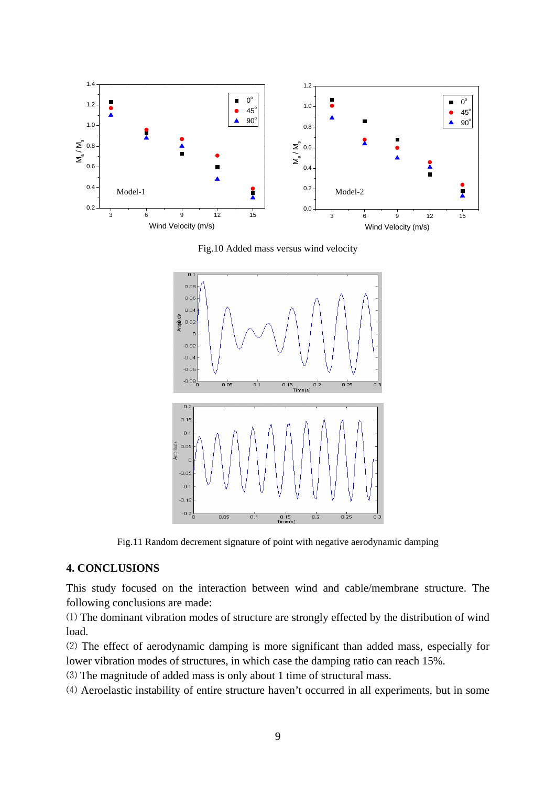

Fig.10 Added mass versus wind velocity



Fig.11 Random decrement signature of point with negative aerodynamic damping

## **4. CONCLUSIONS**

This study focused on the interaction between wind and cable/membrane structure. The following conclusions are made:

⑴ The dominant vibration modes of structure are strongly effected by the distribution of wind load.

⑵ The effect of aerodynamic damping is more significant than added mass, especially for lower vibration modes of structures, in which case the damping ratio can reach 15%.

⑶ The magnitude of added mass is only about 1 time of structural mass.

⑷ Aeroelastic instability of entire structure haven't occurred in all experiments, but in some